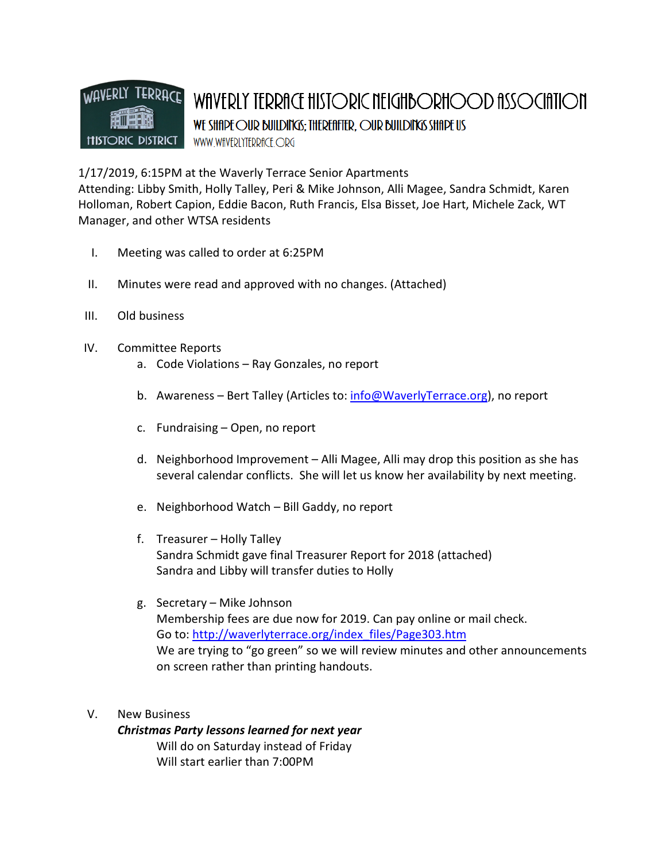

1/17/2019, 6:15PM at the Waverly Terrace Senior Apartments

Attending: Libby Smith, Holly Talley, Peri & Mike Johnson, Alli Magee, Sandra Schmidt, Karen Holloman, Robert Capion, Eddie Bacon, Ruth Francis, Elsa Bisset, Joe Hart, Michele Zack, WT Manager, and other WTSA residents

- I. Meeting was called to order at 6:25PM
- II. Minutes were read and approved with no changes. (Attached)
- III. Old business
- IV. Committee Reports
	- a. Code Violations Ray Gonzales, no report
	- b. Awareness Bert Talley (Articles to: info@WaverlyTerrace.org), no report
	- c. Fundraising Open, no report
	- d. Neighborhood Improvement Alli Magee, Alli may drop this position as she has several calendar conflicts. She will let us know her availability by next meeting.
	- e. Neighborhood Watch Bill Gaddy, no report
	- f. Treasurer Holly Talley Sandra Schmidt gave final Treasurer Report for 2018 (attached) Sandra and Libby will transfer duties to Holly
	- g. Secretary Mike Johnson Membership fees are due now for 2019. Can pay online or mail check. Go to: http://waverlyterrace.org/index\_files/Page303.htm We are trying to "go green" so we will review minutes and other announcements on screen rather than printing handouts.
- V. New Business

Christmas Party lessons learned for next year Will do on Saturday instead of Friday Will start earlier than 7:00PM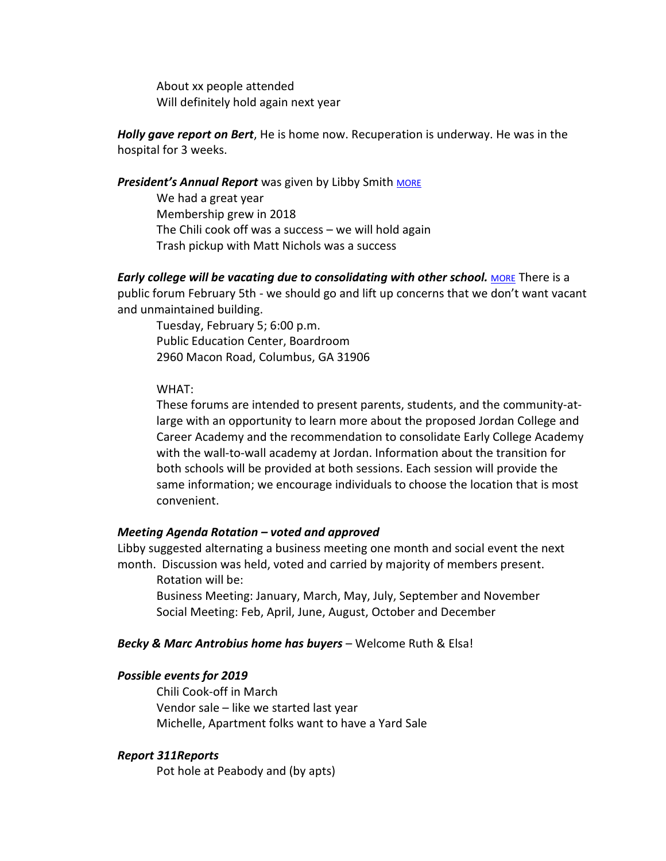About xx people attended Will definitely hold again next year

**Holly gave report on Bert**, He is home now. Recuperation is underway. He was in the hospital for 3 weeks.

# President's Annual Report was given by Libby Smith MORE

We had a great year Membership grew in 2018 The Chili cook off was a success – we will hold again Trash pickup with Matt Nichols was a success

**Early college will be vacating due to consolidating with other school.** MORE There is a public forum February 5th - we should go and lift up concerns that we don't want vacant and unmaintained building.

Tuesday, February 5; 6:00 p.m. Public Education Center, Boardroom 2960 Macon Road, Columbus, GA 31906

# WHAT:

These forums are intended to present parents, students, and the community-atlarge with an opportunity to learn more about the proposed Jordan College and Career Academy and the recommendation to consolidate Early College Academy with the wall-to-wall academy at Jordan. Information about the transition for both schools will be provided at both sessions. Each session will provide the same information; we encourage individuals to choose the location that is most convenient.

# Meeting Agenda Rotation – voted and approved

Libby suggested alternating a business meeting one month and social event the next month. Discussion was held, voted and carried by majority of members present.

Rotation will be:

Business Meeting: January, March, May, July, September and November Social Meeting: Feb, April, June, August, October and December

# Becky & Marc Antrobius home has buyers – Welcome Ruth & Elsa!

# Possible events for 2019

Chili Cook-off in March Vendor sale – like we started last year Michelle, Apartment folks want to have a Yard Sale

#### Report 311Reports

Pot hole at Peabody and (by apts)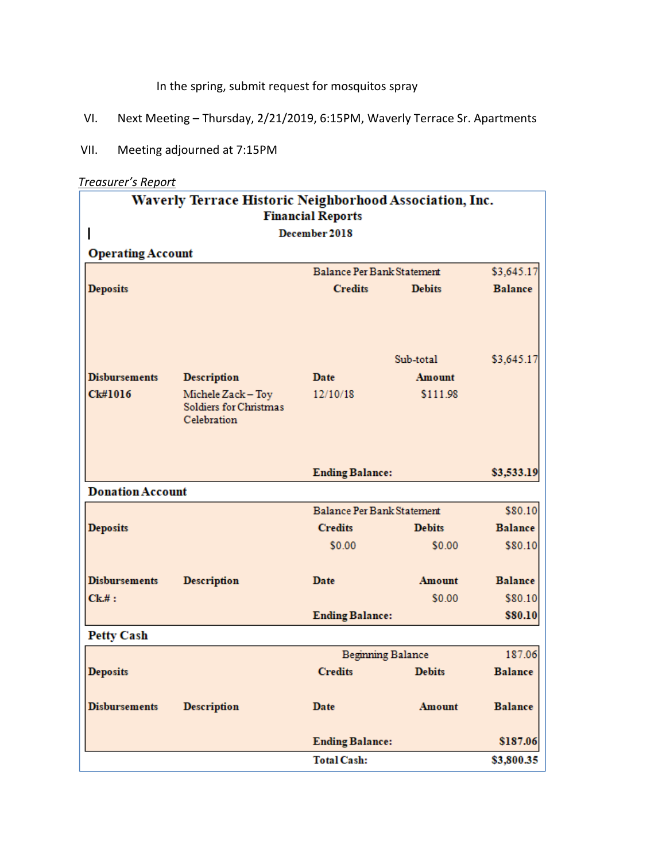In the spring, submit request for mosquitos spray

- VI. Next Meeting Thursday, 2/21/2019, 6:15PM, Waverly Terrace Sr. Apartments
- VII. Meeting adjourned at 7:15PM

# Treasurer's Report

| Waverly Terrace Historic Neighborhood Association, Inc.<br><b>Financial Reports</b> |                                       |                            |               |                    |
|-------------------------------------------------------------------------------------|---------------------------------------|----------------------------|---------------|--------------------|
| December 2018                                                                       |                                       |                            |               |                    |
| <b>Operating Account</b>                                                            |                                       |                            |               |                    |
|                                                                                     |                                       | Balance Per Bank Statement |               | \$3,645.17         |
| <b>Deposits</b>                                                                     |                                       | <b>Credits</b>             | <b>Debits</b> | <b>Balance</b>     |
|                                                                                     |                                       |                            |               |                    |
|                                                                                     |                                       |                            |               |                    |
|                                                                                     |                                       | Sub-total                  |               | \$3,645.17         |
| <b>Disbursements</b>                                                                | <b>Description</b>                    | Date                       | Amount        |                    |
| Ck#1016                                                                             | Michele Zack - Toy                    | 12/10/18                   | \$111.98      |                    |
|                                                                                     | Soldiers for Christmas<br>Celebration |                            |               |                    |
|                                                                                     |                                       |                            |               |                    |
|                                                                                     |                                       |                            |               |                    |
|                                                                                     |                                       | <b>Ending Balance:</b>     |               | \$3,533.19         |
| <b>Donation Account</b>                                                             |                                       |                            |               |                    |
|                                                                                     |                                       | Balance Per Bank Statement |               | \$80.10            |
| <b>Deposits</b>                                                                     |                                       | <b>Credits</b>             | <b>Debits</b> | <b>Balance</b>     |
|                                                                                     |                                       | \$0.00                     | \$0.00        | \$80.10            |
|                                                                                     |                                       |                            |               |                    |
| <b>Disbursements</b>                                                                | <b>Description</b>                    | Date                       | <b>Amount</b> | <b>Balance</b>     |
| $Ck$ .#:                                                                            |                                       | <b>Ending Balance:</b>     | \$0.00        | \$80.10<br>\$80.10 |
| <b>Petty Cash</b>                                                                   |                                       |                            |               |                    |
|                                                                                     |                                       | <b>Beginning Balance</b>   |               | 187.06             |
| <b>Deposits</b>                                                                     |                                       | <b>Credits</b>             | <b>Debits</b> | <b>Balance</b>     |
|                                                                                     |                                       |                            |               |                    |
| <b>Disbursements</b>                                                                | <b>Description</b>                    | Date                       | Amount        | <b>Balance</b>     |
|                                                                                     |                                       |                            |               |                    |
|                                                                                     |                                       | <b>Ending Balance:</b>     |               | \$187.06           |
|                                                                                     |                                       | <b>Total Cash:</b>         |               | \$3,800.35         |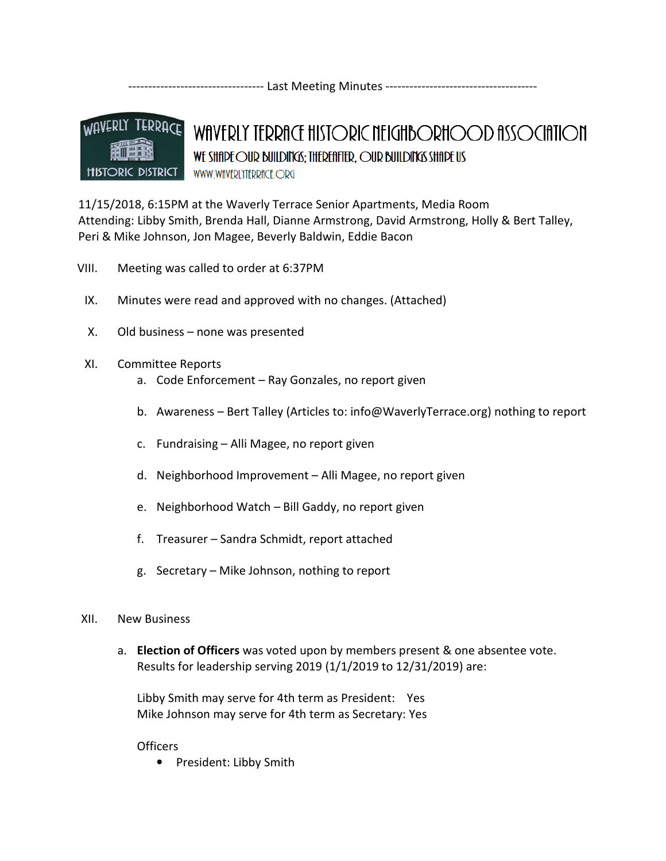---------------------------------- Last Meeting Minutes --------------------------------------



# WAVERLY TERRACE HISTORIC NEIGHBORHOOD ASSOCIATION WE SHIP FOUR BUILDING: THEREFIFTER, OUR BUILDING SHIP US WWW.WfIVERLYTERRfICE.ORG

11/15/2018, 6:15PM at the Waverly Terrace Senior Apartments, Media Room Attending: Libby Smith, Brenda Hall, Dianne Armstrong, David Armstrong, Holly & Bert Talley, Peri & Mike Johnson, Jon Magee, Beverly Baldwin, Eddie Bacon

- VIII. Meeting was called to order at 6:37PM
	- IX. Minutes were read and approved with no changes. (Attached)
	- X. Old business none was presented
	- XI. Committee Reports
		- a. Code Enforcement Ray Gonzales, no report given
		- b. Awareness Bert Talley (Articles to: info@WaverlyTerrace.org) nothing to report
		- c. Fundraising Alli Magee, no report given
		- d. Neighborhood Improvement Alli Magee, no report given
		- e. Neighborhood Watch Bill Gaddy, no report given
		- f. Treasurer Sandra Schmidt, report attached
		- g. Secretary Mike Johnson, nothing to report

# XII. New Business

a. Election of Officers was voted upon by members present & one absentee vote. Results for leadership serving 2019 (1/1/2019 to 12/31/2019) are:

Libby Smith may serve for 4th term as President: Yes Mike Johnson may serve for 4th term as Secretary: Yes

# **Officers**

• President: Libby Smith